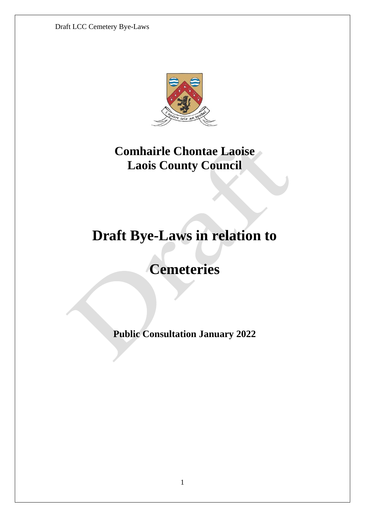

## **Comhairle Chontae Laoise Laois County Council**

# **Draft Bye-Laws in relation to**

## **Cemeteries**

**Public Consultation January 2022**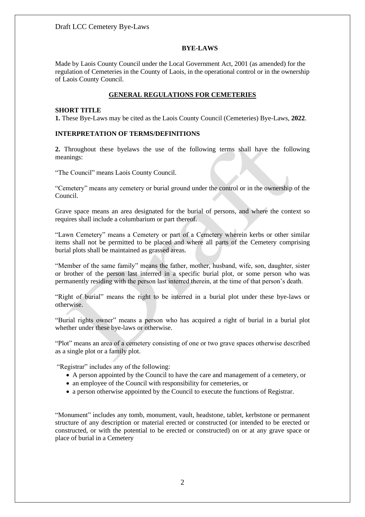#### **BYE-LAWS**

Made by Laois County Council under the Local Government Act, 2001 (as amended) for the regulation of Cemeteries in the County of Laois, in the operational control or in the ownership of Laois County Council.

### **GENERAL REGULATIONS FOR CEMETERIES**

#### **SHORT TITLE**

**1.** These Bye-Laws may be cited as the Laois County Council (Cemeteries) Bye-Laws, **2022**.

## **INTERPRETATION OF TERMS/DEFINITIONS**

**2.** Throughout these byelaws the use of the following terms shall have the following meanings:

"The Council" means Laois County Council.

"Cemetery" means any cemetery or burial ground under the control or in the ownership of the Council.

Grave space means an area designated for the burial of persons, and where the context so requires shall include a columbarium or part thereof.

"Lawn Cemetery" means a Cemetery or part of a Cemetery wherein kerbs or other similar items shall not be permitted to be placed and where all parts of the Cemetery comprising burial plots shall be maintained as grassed areas.

"Member of the same family" means the father, mother, husband, wife, son, daughter, sister or brother of the person last interred in a specific burial plot, or some person who was permanently residing with the person last interred therein, at the time of that person's death.

"Right of burial" means the right to be interred in a burial plot under these bye-laws or otherwise.

"Burial rights owner" means a person who has acquired a right of burial in a burial plot whether under these bye-laws or otherwise.

"Plot" means an area of a cemetery consisting of one or two grave spaces otherwise described as a single plot or a family plot.

"Registrar" includes any of the following:

- A person appointed by the Council to have the care and management of a cemetery, or
- an employee of the Council with responsibility for cemeteries, or
- a person otherwise appointed by the Council to execute the functions of Registrar.

"Monument" includes any tomb, monument, vault, headstone, tablet, kerbstone or permanent structure of any description or material erected or constructed (or intended to be erected or constructed, or with the potential to be erected or constructed) on or at any grave space or place of burial in a Cemetery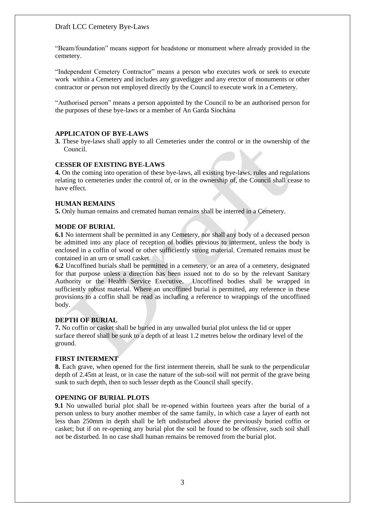"Beam/foundation" means support for headstone or monument where already provided in the cemetery.

"Independent Cemetery Contractor" means a person who executes work or seek to execute work within a Cemetery and includes any gravedigger and any erector of monuments or other contractor or person not employed directly by the Council to execute work in a Cemetery.

"Authorised person" means a person appointed by the Council to be an authorised person for the purposes of these bye-laws or a member of An Garda Síochána

#### **APPLICATON OF BYE-LAWS**

**3.** These bye-laws shall apply to all Cemeteries under the control or in the ownership of the Council.

#### **CESSER OF EXISTING BYE-LAWS**

**4.** On the coming into operation of these bye-laws, all existing bye-laws, rules and regulations relating to cemeteries under the control of, or in the ownership of, the Council shall cease to have effect.

#### **HUMAN REMAINS**

**5.** Only human remains and cremated human remains shall be interred in a Cemetery.

#### **MODE OF BURIAL**

**6.1** No interment shall be permitted in any Cemetery, nor shall any body of a deceased person be admitted into any place of reception of bodies previous to interment, unless the body is enclosed in a coffin of wood or other sufficiently strong material. Cremated remains must be contained in an urn or small casket.

**6.2** Uncoffined burials shall be permitted in a cemetery, or an area of a cemetery, designated for that purpose unless a direction has been issued not to do so by the relevant Sanitary Authority or the Health Service Executive. Uncoffined bodies shall be wrapped in sufficiently robust material. Where an uncoffined burial is permitted, any reference in these provisions to a coffin shall be read as including a reference to wrappings of the uncoffined body.

### **DEPTH OF BURIAL**

**7.** No coffin or casket shall be buried in any unwalled burial plot unless the lid or upper surface thereof shall be sunk to a depth of at least 1.2 metres below the ordinary level of the ground.

#### **FIRST INTERMENT**

**8.** Each grave, when opened for the first interment therein, shall be sunk to the perpendicular depth of 2.45m at least, or in case the nature of the sub-soil will not permit of the grave being sunk to such depth, then to such lesser depth as the Council shall specify.

#### **OPENING OF BURIAL PLOTS**

**9.1** No unwalled burial plot shall be re-opened within fourteen years after the burial of a person unless to bury another member of the same family, in which case a layer of earth not less than 250mm in depth shall be left undisturbed above the previously buried coffin or casket; but if on re-opening any burial plot the soil be found to be offensive, such soil shall not be disturbed. In no case shall human remains be removed from the burial plot.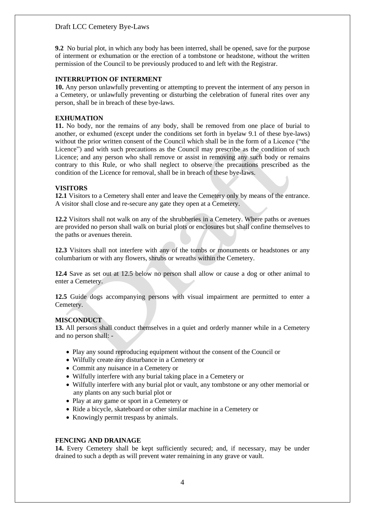**9.2** No burial plot, in which any body has been interred, shall be opened, save for the purpose of interment or exhumation or the erection of a tombstone or headstone, without the written permission of the Council to be previously produced to and left with the Registrar.

## **INTERRUPTION OF INTERMENT**

**10.** Any person unlawfully preventing or attempting to prevent the interment of any person in a Cemetery, or unlawfully preventing or disturbing the celebration of funeral rites over any person, shall be in breach of these bye-laws.

### **EXHUMATION**

**11.** No body, nor the remains of any body, shall be removed from one place of burial to another, or exhumed (except under the conditions set forth in byelaw 9.1 of these bye-laws) without the prior written consent of the Council which shall be in the form of a Licence ("the Licence") and with such precautions as the Council may prescribe as the condition of such Licence; and any person who shall remove or assist in removing any such body or remains contrary to this Rule, or who shall neglect to observe the precautions prescribed as the condition of the Licence for removal, shall be in breach of these bye-laws.

### **VISITORS**

**12.1** Visitors to a Cemetery shall enter and leave the Cemetery only by means of the entrance. A visitor shall close and re-secure any gate they open at a Cemetery.

**12.2** Visitors shall not walk on any of the shrubberies in a Cemetery. Where paths or avenues are provided no person shall walk on burial plots or enclosures but shall confine themselves to the paths or avenues therein.

**12.3** Visitors shall not interfere with any of the tombs or monuments or headstones or any columbarium or with any flowers, shrubs or wreaths within the Cemetery.

**12.4** Save as set out at 12.5 below no person shall allow or cause a dog or other animal to enter a Cemetery.

**12.5** Guide dogs accompanying persons with visual impairment are permitted to enter a Cemetery.

## **MISCONDUCT**

**13.** All persons shall conduct themselves in a quiet and orderly manner while in a Cemetery and no person shall: -

- Play any sound reproducing equipment without the consent of the Council or
- Wilfully create any disturbance in a Cemetery or
- Commit any nuisance in a Cemetery or
- Wilfully interfere with any burial taking place in a Cemetery or
- Wilfully interfere with any burial plot or vault, any tombstone or any other memorial or any plants on any such burial plot or
- Play at any game or sport in a Cemetery or
- Ride a bicycle, skateboard or other similar machine in a Cemetery or
- Knowingly permit trespass by animals.

## **FENCING AND DRAINAGE**

**14.** Every Cemetery shall be kept sufficiently secured; and, if necessary, may be under drained to such a depth as will prevent water remaining in any grave or vault.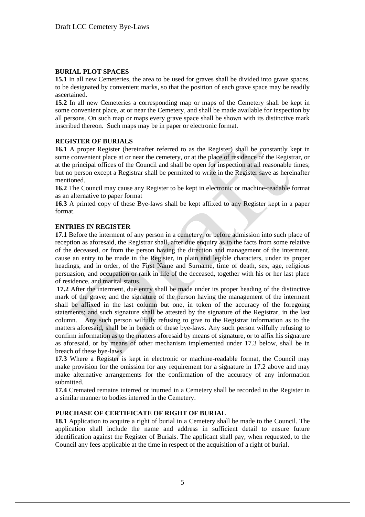### **BURIAL PLOT SPACES**

**15.1** In all new Cemeteries, the area to be used for graves shall be divided into grave spaces, to be designated by convenient marks, so that the position of each grave space may be readily ascertained.

**15.2** In all new Cemeteries a corresponding map or maps of the Cemetery shall be kept in some convenient place, at or near the Cemetery, and shall be made available for inspection by all persons. On such map or maps every grave space shall be shown with its distinctive mark inscribed thereon. Such maps may be in paper or electronic format.

### **REGISTER OF BURIALS**

**16.1** A proper Register (hereinafter referred to as the Register) shall be constantly kept in some convenient place at or near the cemetery, or at the place of residence of the Registrar, or at the principal offices of the Council and shall be open for inspection at all reasonable times; but no person except a Registrar shall be permitted to write in the Register save as hereinafter mentioned.

**16.2** The Council may cause any Register to be kept in electronic or machine-readable format as an alternative to paper format

**16.3** A printed copy of these Bye-laws shall be kept affixed to any Register kept in a paper format.

## **ENTRIES IN REGISTER**

**17.1** Before the interment of any person in a cemetery, or before admission into such place of reception as aforesaid, the Registrar shall, after due enquiry as to the facts from some relative of the deceased, or from the person having the direction and management of the interment, cause an entry to be made in the Register, in plain and legible characters, under its proper headings, and in order, of the First Name and Surname, time of death, sex, age, religious persuasion, and occupation or rank in life of the deceased, together with his or her last place of residence, and marital status.

**17.2** After the interment, due entry shall be made under its proper heading of the distinctive mark of the grave; and the signature of the person having the management of the interment shall be affixed in the last column but one, in token of the accuracy of the foregoing statements; and such signature shall be attested by the signature of the Registrar, in the last column. Any such person wilfully refusing to give to the Registrar information as to the matters aforesaid, shall be in breach of these bye-laws. Any such person wilfully refusing to confirm information as to the matters aforesaid by means of signature, or to affix his signature as aforesaid, or by means of other mechanism implemented under 17.3 below, shall be in breach of these bye-laws.

**17.3** Where a Register is kept in electronic or machine-readable format, the Council may make provision for the omission for any requirement for a signature in 17.2 above and may make alternative arrangements for the confirmation of the accuracy of any information submitted.

**17.4** Cremated remains interred or inurned in a Cemetery shall be recorded in the Register in a similar manner to bodies interred in the Cemetery.

### **PURCHASE OF CERTIFICATE OF RIGHT OF BURIAL**

**18.1** Application to acquire a right of burial in a Cemetery shall be made to the Council. The application shall include the name and address in sufficient detail to ensure future identification against the Register of Burials. The applicant shall pay, when requested, to the Council any fees applicable at the time in respect of the acquisition of a right of burial.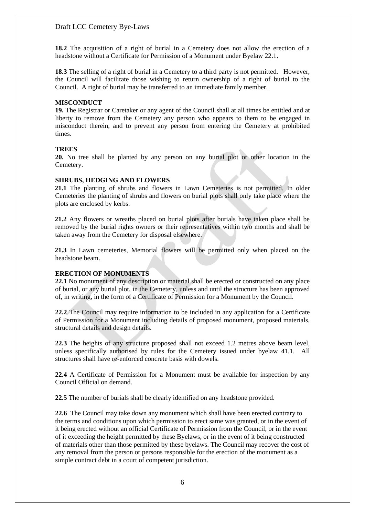**18.2** The acquisition of a right of burial in a Cemetery does not allow the erection of a headstone without a Certificate for Permission of a Monument under Byelaw 22.1.

**18.3** The selling of a right of burial in a Cemetery to a third party is not permitted. However, the Council will facilitate those wishing to return ownership of a right of burial to the Council. A right of burial may be transferred to an immediate family member.

### **MISCONDUCT**

**19.** The Registrar or Caretaker or any agent of the Council shall at all times be entitled and at liberty to remove from the Cemetery any person who appears to them to be engaged in misconduct therein, and to prevent any person from entering the Cemetery at prohibited times.

### **TREES**

**20.** No tree shall be planted by any person on any burial plot or other location in the Cemetery.

### **SHRUBS, HEDGING AND FLOWERS**

**21.1** The planting of shrubs and flowers in Lawn Cemeteries is not permitted. In older Cemeteries the planting of shrubs and flowers on burial plots shall only take place where the plots are enclosed by kerbs.

**21.2** Any flowers or wreaths placed on burial plots after burials have taken place shall be removed by the burial rights owners or their representatives within two months and shall be taken away from the Cemetery for disposal elsewhere.

**21.3** In Lawn cemeteries, Memorial flowers will be permitted only when placed on the headstone beam.

### **ERECTION OF MONUMENTS**

**22.1** No monument of any description or material shall be erected or constructed on any place of burial, or any burial plot, in the Cemetery, unless and until the structure has been approved of, in writing, in the form of a Certificate of Permission for a Monument by the Council.

**22.2** The Council may require information to be included in any application for a Certificate of Permission for a Monument including details of proposed monument, proposed materials, structural details and design details.

**22.3** The heights of any structure proposed shall not exceed 1.2 metres above beam level, unless specifically authorised by rules for the Cemetery issued under byelaw 41.1. All structures shall have re-enforced concrete basis with dowels.

**22.4** A Certificate of Permission for a Monument must be available for inspection by any Council Official on demand.

**22.5** The number of burials shall be clearly identified on any headstone provided.

**22.6** The Council may take down any monument which shall have been erected contrary to the terms and conditions upon which permission to erect same was granted, or in the event of it being erected without an official Certificate of Permission from the Council, or in the event of it exceeding the height permitted by these Byelaws, or in the event of it being constructed of materials other than those permitted by these byelaws. The Council may recover the cost of any removal from the person or persons responsible for the erection of the monument as a simple contract debt in a court of competent jurisdiction.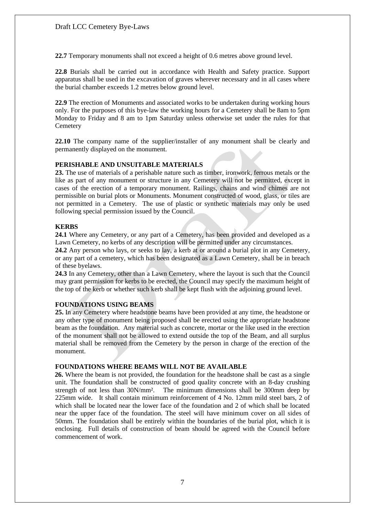**22.7** Temporary monuments shall not exceed a height of 0.6 metres above ground level.

**22.8** Burials shall be carried out in accordance with Health and Safety practice. Support apparatus shall be used in the excavation of graves wherever necessary and in all cases where the burial chamber exceeds 1.2 metres below ground level.

**22.9** The erection of Monuments and associated works to be undertaken during working hours only. For the purposes of this bye-law the working hours for a Cemetery shall be 8am to 5pm Monday to Friday and 8 am to 1pm Saturday unless otherwise set under the rules for that **Cemetery** 

**22.10** The company name of the supplier/installer of any monument shall be clearly and permanently displayed on the monument.

### **PERISHABLE AND UNSUITABLE MATERIALS**

**23.** The use of materials of a perishable nature such as timber, ironwork, ferrous metals or the like as part of any monument or structure in any Cemetery will not be permitted, except in cases of the erection of a temporary monument. Railings, chains and wind chimes are not permissible on burial plots or Monuments. Monument constructed of wood, glass, or tiles are not permitted in a Cemetery. The use of plastic or synthetic materials may only be used following special permission issued by the Council.

## **KERBS**

**24.1** Where any Cemetery, or any part of a Cemetery, has been provided and developed as a Lawn Cemetery, no kerbs of any description will be permitted under any circumstances.

**24.2** Any person who lays, or seeks to lay, a kerb at or around a burial plot in any Cemetery, or any part of a cemetery, which has been designated as a Lawn Cemetery, shall be in breach of these byelaws.

**24.3** In any Cemetery, other than a Lawn Cemetery, where the layout is such that the Council may grant permission for kerbs to be erected, the Council may specify the maximum height of the top of the kerb or whether such kerb shall be kept flush with the adjoining ground level.

## **FOUNDATIONS USING BEAMS**

**25.** In any Cemetery where headstone beams have been provided at any time, the headstone or any other type of monument being proposed shall be erected using the appropriate headstone beam as the foundation. Any material such as concrete, mortar or the like used in the erection of the monument shall not be allowed to extend outside the top of the Beam, and all surplus material shall be removed from the Cemetery by the person in charge of the erection of the monument.

#### **FOUNDATIONS WHERE BEAMS WILL NOT BE AVAILABLE**

**26.** Where the beam is not provided, the foundation for the headstone shall be cast as a single unit. The foundation shall be constructed of good quality concrete with an 8-day crushing strength of not less than 30N/mm². The minimum dimensions shall be 300mm deep by 225mm wide. It shall contain minimum reinforcement of 4 No. 12mm mild steel bars, 2 of which shall be located near the lower face of the foundation and 2 of which shall be located near the upper face of the foundation. The steel will have minimum cover on all sides of 50mm. The foundation shall be entirely within the boundaries of the burial plot, which it is enclosing. Full details of construction of beam should be agreed with the Council before commencement of work.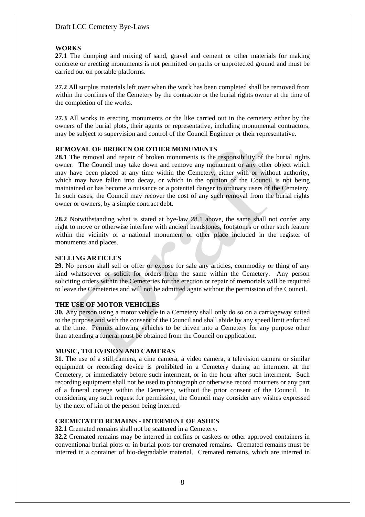## **WORKS**

**27.1** The dumping and mixing of sand, gravel and cement or other materials for making concrete or erecting monuments is not permitted on paths or unprotected ground and must be carried out on portable platforms.

**27.2** All surplus materials left over when the work has been completed shall be removed from within the confines of the Cemetery by the contractor or the burial rights owner at the time of the completion of the works.

**27.3** All works in erecting monuments or the like carried out in the cemetery either by the owners of the burial plots, their agents or representative, including monumental contractors, may be subject to supervision and control of the Council Engineer or their representative.

#### **REMOVAL OF BROKEN OR OTHER MONUMENTS**

**28.1** The removal and repair of broken monuments is the responsibility of the burial rights owner. The Council may take down and remove any monument or any other object which may have been placed at any time within the Cemetery, either with or without authority, which may have fallen into decay, or which in the opinion of the Council is not being maintained or has become a nuisance or a potential danger to ordinary users of the Cemetery. In such cases, the Council may recover the cost of any such removal from the burial rights owner or owners, by a simple contract debt.

**28.2** Notwithstanding what is stated at bye-law 28.1 above, the same shall not confer any right to move or otherwise interfere with ancient headstones, footstones or other such feature within the vicinity of a national monument or other place included in the register of monuments and places.

#### **SELLING ARTICLES**

**29.** No person shall sell or offer or expose for sale any articles, commodity or thing of any kind whatsoever or solicit for orders from the same within the Cemetery. Any person soliciting orders within the Cemeteries for the erection or repair of memorials will be required to leave the Cemeteries and will not be admitted again without the permission of the Council.

### **THE USE OF MOTOR VEHICLES**

**30.** Any person using a motor vehicle in a Cemetery shall only do so on a carriageway suited to the purpose and with the consent of the Council and shall abide by any speed limit enforced at the time. Permits allowing vehicles to be driven into a Cemetery for any purpose other than attending a funeral must be obtained from the Council on application.

#### **MUSIC, TELEVISION AND CAMERAS**

**31.** The use of a still camera, a cine camera, a video camera, a television camera or similar equipment or recording device is prohibited in a Cemetery during an interment at the Cemetery, or immediately before such interment, or in the hour after such interment. Such recording equipment shall not be used to photograph or otherwise record mourners or any part of a funeral cortege within the Cemetery, without the prior consent of the Council. In considering any such request for permission, the Council may consider any wishes expressed by the next of kin of the person being interred.

## **CREMETATED REMAINS - INTERMENT OF ASHES**

**32.1** Cremated remains shall not be scattered in a Cemetery.

**32.2** Cremated remains may be interred in coffins or caskets or other approved containers in conventional burial plots or in burial plots for cremated remains. Cremated remains must be interred in a container of bio-degradable material. Cremated remains, which are interred in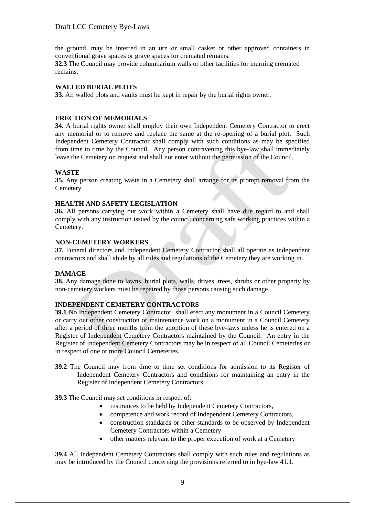the ground, may be interred in an urn or small casket or other approved containers in conventional grave spaces or grave spaces for cremated remains.

**32.3** The Council may provide columbarium walls or other facilities for inurning cremated remains.

### **WALLED BURIAL PLOTS**

**33.** All walled plots and vaults must be kept in repair by the burial rights owner.

### **ERECTION OF MEMORIALS**

**34.** A burial rights owner shall employ their own Independent Cemetery Contractor to erect any memorial or to remove and replace the same at the re-opening of a burial plot. Such Independent Cemetery Contractor shall comply with such conditions as may be specified from time to time by the Council. Any person contravening this bye-law shall immediately leave the Cemetery on request and shall not enter without the permission of the Council.

### **WASTE**

**35.** Any person creating waste in a Cemetery shall arrange for its prompt removal from the Cemetery.

### **HEALTH AND SAFETY LEGISLATION**

**36.** All persons carrying out work within a Cemetery shall have due regard to and shall comply with any instruction issued by the council concerning safe working practices within a Cemetery.

#### **NON-CEMETERY WORKERS**

**37.** Funeral directors and Independent Cemetery Contractor shall all operate as independent contractors and shall abide by all rules and regulations of the Cemetery they are working in.

#### **DAMAGE**

**38.** Any damage done to lawns, burial plots, walls, drives, trees, shrubs or other property by non-cemetery workers must be repaired by those persons causing such damage.

#### **INDEPENDENT CEMETERY CONTRACTORS**

**39.1** No Independent Cemetery Contractor shall erect any monument in a Council Cemetery or carry out other construction or maintenance work on a monument in a Council Cemetery after a period of three months from the adoption of these bye-laws unless he is entered on a Register of Independent Cemetery Contractors maintained by the Council. An entry in the Register of Independent Cemetery Contractors may be in respect of all Council Cemeteries or in respect of one or more Council Cemeteries.

**39.2** The Council may from time to time set conditions for admission to its Register of Independent Cemetery Contractors and conditions for maintaining an entry in the Register of Independent Cemetery Contractors.

**39.3** The Council may set conditions in respect of:

- insurances to be held by Independent Cemetery Contractors,
- competence and work record of Independent Cemetery Contractors,
- construction standards or other standards to be observed by Independent Cemetery Contractors within a Cemetery
- other matters relevant to the proper execution of work at a Cemetery

**39.4** All Independent Cemetery Contractors shall comply with such rules and regulations as may be introduced by the Council concerning the provisions referred to in bye-law 41.1.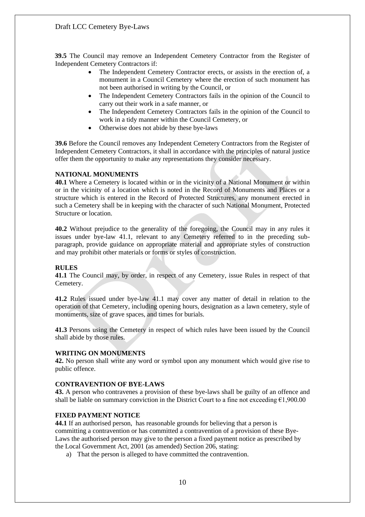**39.5** The Council may remove an Independent Cemetery Contractor from the Register of Independent Cemetery Contractors if:

- The Independent Cemetery Contractor erects, or assists in the erection of, a monument in a Council Cemetery where the erection of such monument has not been authorised in writing by the Council, or
- The Independent Cemetery Contractors fails in the opinion of the Council to carry out their work in a safe manner, or
- The Independent Cemetery Contractors fails in the opinion of the Council to work in a tidy manner within the Council Cemetery, or
- Otherwise does not abide by these bye-laws

**39.6** Before the Council removes any Independent Cemetery Contractors from the Register of Independent Cemetery Contractors, it shall in accordance with the principles of natural justice offer them the opportunity to make any representations they consider necessary.

## **NATIONAL MONUMENTS**

**40.1** Where a Cemetery is located within or in the vicinity of a National Monument or within or in the vicinity of a location which is noted in the Record of Monuments and Places or a structure which is entered in the Record of Protected Structures, any monument erected in such a Cemetery shall be in keeping with the character of such National Monument, Protected Structure or location.

**40.2** Without prejudice to the generality of the foregoing, the Council may in any rules it issues under bye-law 41.1, relevant to any Cemetery referred to in the preceding subparagraph, provide guidance on appropriate material and appropriate styles of construction and may prohibit other materials or forms or styles of construction.

#### **RULES**

**41.1** The Council may, by order, in respect of any Cemetery, issue Rules in respect of that Cemetery.

**41.2** Rules issued under bye-law 41.1 may cover any matter of detail in relation to the operation of that Cemetery, including opening hours, designation as a lawn cemetery, style of monuments, size of grave spaces, and times for burials.

**41.3** Persons using the Cemetery in respect of which rules have been issued by the Council shall abide by those rules.

## **WRITING ON MONUMENTS**

**42.** No person shall write any word or symbol upon any monument which would give rise to public offence.

#### **CONTRAVENTION OF BYE-LAWS**

**43.** A person who contravenes a provision of these bye-laws shall be guilty of an offence and shall be liable on summary conviction in the District Court to a fine not exceeding  $\epsilon$ 1,900.00

## **FIXED PAYMENT NOTICE**

**44.1** If an authorised person, has reasonable grounds for believing that a person is committing a contravention or has committed a contravention of a provision of these Bye-Laws the authorised person may give to the person a fixed payment notice as prescribed by the Local Government Act, 2001 (as amended) Section 206, stating:

a) That the person is alleged to have committed the contravention.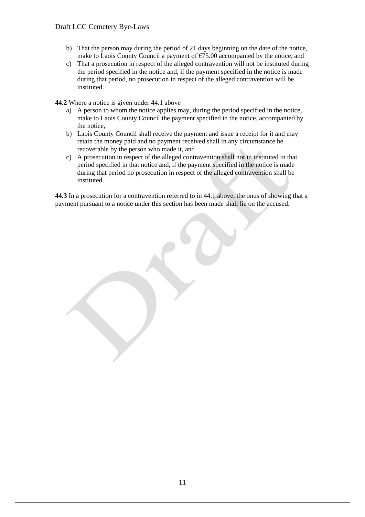- b) That the person may during the period of 21 days beginning on the date of the notice, make to Laois County Council a payment of  $E$ 75.00 accompanied by the notice, and
- c) That a prosecution in respect of the alleged contravention will not be instituted during the period specified in the notice and, if the payment specified in the notice is made during that period, no prosecution in respect of the alleged contravention will be instituted.

**44.2** Where a notice is given under 44.1 above

- a) A person to whom the notice applies may, during the period specified in the notice, make to Laois County Council the payment specified in the notice, accompanied by the notice,
- b) Laois County Council shall receive the payment and issue a receipt for it and may retain the money paid and no payment received shall in any circumstance be recoverable by the person who made it, and
- c) A prosecution in respect of the alleged contravention shall not in instituted in that period specified in that notice and, if the payment specified in the notice is made during that period no prosecution in respect of the alleged contravention shall be instituted.

**44.3** In a prosecution for a contravention referred to in 44.1 above, the onus of showing that a payment pursuant to a notice under this section has been made shall lie on the accused.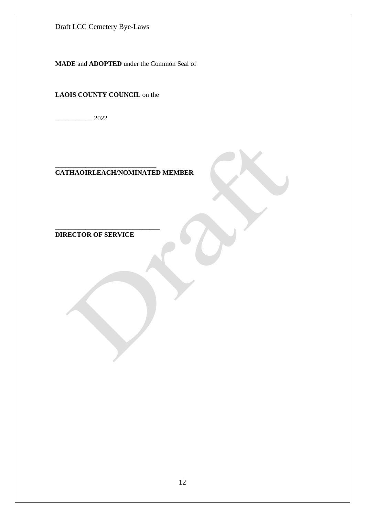**MADE** and **ADOPTED** under the Common Seal of

**LAOIS COUNTY COUNCIL** on the

 $\frac{2022}{ }$ 

#### \_\_\_\_\_\_\_\_\_\_\_\_\_\_\_\_\_\_\_\_\_\_\_\_\_\_\_\_\_\_ **CATHAOIRLEACH/NOMINATED MEMBER**

**DIRECTOR OF SERVICE**

\_\_\_\_\_\_\_\_\_\_\_\_\_\_\_\_\_\_\_\_\_\_\_\_\_\_\_\_\_\_\_